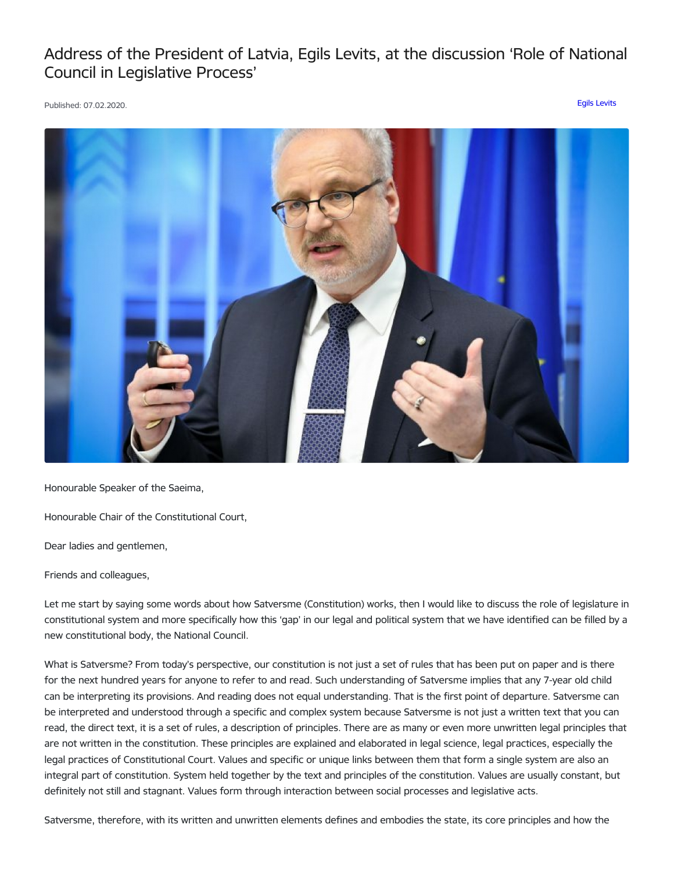## Address of the President of Latvia, Egils Levits, at the discussion 'Role of National Council in Legislative Process'

Published: 07.02.2020. Egils [Levits](https://www.president.lv/en/articles?category%255B276%255D=276)



Honourable Speaker of the Saeima,

Honourable Chair of the Constitutional Court,

Dear ladies and gentlemen,

Friends and colleagues,

Let me start by saying some words about how Satversme (Constitution) works, then I would like to discuss the role of legislature in constitutional system and more specifically how this 'gap' in our legal and political system that we have identified can be filled by a new constitutional body, the National Council.

What is Satversme? From today's perspective, our constitution is not just a set of rules that has been put on paper and is there for the next hundred years for anyone to refer to and read. Such understanding of Satversme implies that any 7-year old child can be interpreting its provisions. And reading does not equal understanding. That is the first point of departure. Satversme can be interpreted and understood through a specific and complex system because Satversme is not just a written text that you can read, the direct text, it is a set of rules, a description of principles. There are as many or even more unwritten legal principles that are not written in the constitution. These principles are explained and elaborated in legal science, legal practices, especially the legal practices of Constitutional Court. Values and specific or unique links between them that form a single system are also an integral part of constitution. System held together by the text and principles of the constitution. Values are usually constant, but definitely not still and stagnant. Values form through interaction between social processes and legislative acts.

Satversme, therefore, with its written and unwritten elements defines and embodies the state, its core principles and how the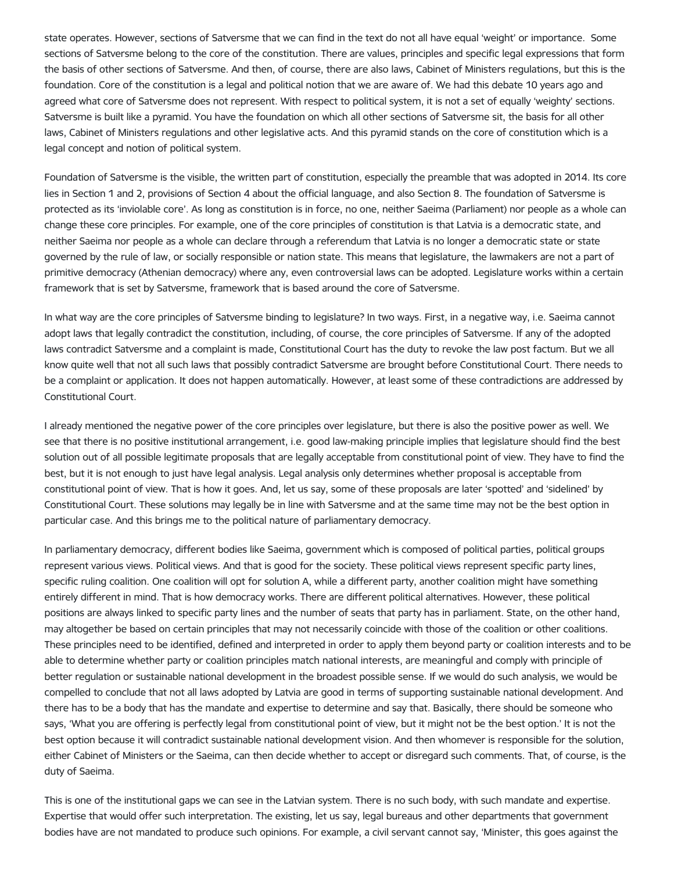state operates. However, sections of Satversme that we can find in the text do not all have equal 'weight' or importance. Some sections of Satversme belong to the core of the constitution. There are values, principles and specific legal expressions that form the basis of other sections of Satversme. And then, of course, there are also laws, Cabinet of Ministers regulations, but this is the foundation. Core of the constitution is a legal and political notion that we are aware of. We had this debate 10 years ago and agreed what core of Satversme does not represent. With respect to political system, it is not a set of equally 'weighty' sections. Satversme is built like a pyramid. You have the foundation on which all other sections of Satversme sit, the basis for all other laws, Cabinet of Ministers regulations and other legislative acts. And this pyramid stands on the core of constitution which is a legal concept and notion of political system.

Foundation of Satversme is the visible, the written part of constitution, especially the preamble that was adopted in 2014. Its core lies in Section 1 and 2, provisions of Section 4 about the official language, and also Section 8. The foundation of Satversme is protected as its 'inviolable core'. As long as constitution is in force, no one, neither Saeima (Parliament) nor people as a whole can change these core principles. For example, one of the core principles of constitution is that Latvia is a democratic state, and neither Saeima nor people as a whole can declare through a referendum that Latvia is no longer a democratic state or state governed by the rule of law, or socially responsible or nation state. This means that legislature, the lawmakers are not a part of primitive democracy (Athenian democracy) where any, even controversial laws can be adopted. Legislature works within a certain framework that is set by Satversme, framework that is based around the core of Satversme.

In what way are the core principles of Satversme binding to legislature? In two ways. First, in a negative way, i.e. Saeima cannot adopt laws that legally contradict the constitution, including, of course, the core principles of Satversme. If any of the adopted laws contradict Satversme and a complaint is made, Constitutional Court has the duty to revoke the law post factum. But we all know quite well that not all such laws that possibly contradict Satversme are brought before Constitutional Court. There needs to be a complaint or application. It does not happen automatically. However, at least some of these contradictions are addressed by Constitutional Court.

I already mentioned the negative power of the core principles over legislature, but there is also the positive power as well. We see that there is no positive institutional arrangement, i.e. good law-making principle implies that legislature should find the best solution out of all possible legitimate proposals that are legally acceptable from constitutional point of view. They have to find the best, but it is not enough to just have legal analysis. Legal analysis only determines whether proposal is acceptable from constitutional point of view. That is how it goes. And, let us say, some of these proposals are later 'spotted' and 'sidelined' by Constitutional Court. These solutions may legally be in line with Satversme and at the same time may not be the best option in particular case. And this brings me to the political nature of parliamentary democracy.

In parliamentary democracy, different bodies like Saeima, government which is composed of political parties, political groups represent various views. Political views. And that is good for the society. These political views represent specific party lines, specific ruling coalition. One coalition will opt for solution A, while a different party, another coalition might have something entirely different in mind. That is how democracy works. There are different political alternatives. However, these political positions are always linked to specific party lines and the number of seats that party has in parliament. State, on the other hand, may altogether be based on certain principles that may not necessarily coincide with those of the coalition or other coalitions. These principles need to be identified, defined and interpreted in order to apply them beyond party or coalition interests and to be able to determine whether party or coalition principles match national interests, are meaningful and comply with principle of better regulation or sustainable national development in the broadest possible sense. If we would do such analysis, we would be compelled to conclude that not all laws adopted by Latvia are good in terms of supporting sustainable national development. And there has to be a body that has the mandate and expertise to determine and say that. Basically, there should be someone who says, 'What you are offering is perfectly legal from constitutional point of view, but it might not be the best option.' It is not the best option because it will contradict sustainable national development vision. And then whomever is responsible for the solution, either Cabinet of Ministers or the Saeima, can then decide whether to accept or disregard such comments. That, of course, is the duty of Saeima.

This is one of the institutional gaps we can see in the Latvian system. There is no such body, with such mandate and expertise. Expertise that would offer such interpretation. The existing, let us say, legal bureaus and other departments that government bodies have are not mandated to produce such opinions. For example, a civil servant cannot say, 'Minister, this goes against the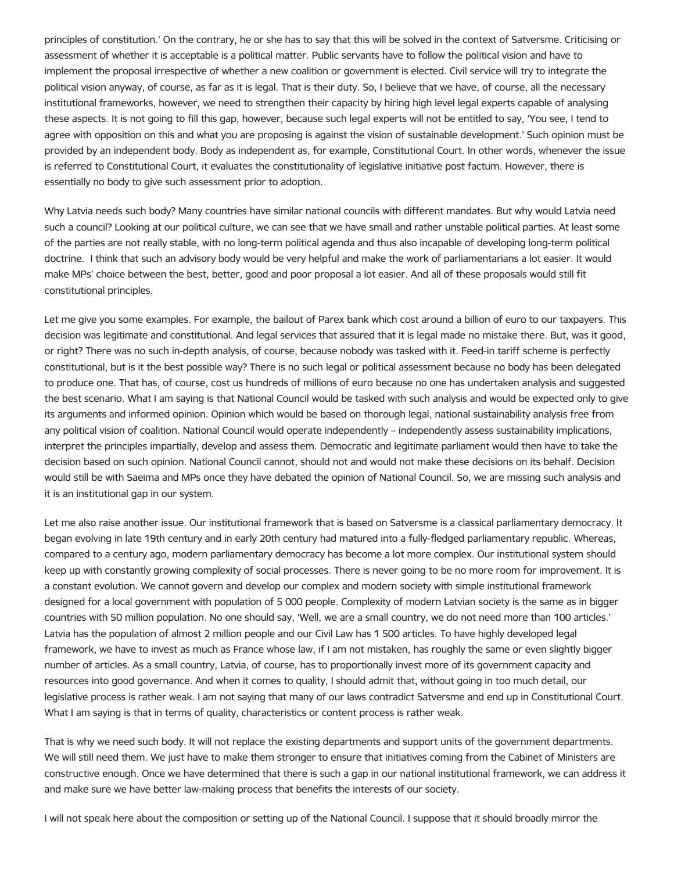principles of constitution.' On the contrary, he or she has to say that this will be solved in the context of Satversme. Criticising or assessment of whether it is acceptable is a political matter. Public servants have to follow the political vision and have to implement the proposal irrespective of whether a new coalition or government is elected. Civil service will try to integrate the political vision anyway, of course, as far as it is legal. That is their duty. So, I believe that we have, of course, all the necessary institutional frameworks, however, we need to strengthen their capacity by hiring high level legal experts capable of analysing these aspects. It is not going to fill this gap, however, because such legal experts will not be entitled to say, 'You see, I tend to agree with opposition on this and what you are proposing is against the vision of sustainable development.' Such opinion must be provided by an independent body. Body as independent as, for example, Constitutional Court. In other words, whenever the issue is referred to Constitutional Court, it evaluates the constitutionality of legislative initiative post factum. However, there is essentially no body to give such assessment prior to adoption.

Why Latvia needs such body? Many countries have similar national councils with different mandates. But why would Latvia need such a council? Looking at our political culture, we can see that we have small and rather unstable political parties. At least some of the parties are not really stable, with no long-term political agenda and thus also incapable of developing long-term political doctrine. I think that such an advisory body would be very helpful and make the work of parliamentarians a lot easier. It would make MPs' choice between the best, better, good and poor proposal a lot easier. And all of these proposals would still fit constitutional principles.

Let me give you some examples. For example, the bailout of Parex bank which cost around a billion of euro to our taxpayers. This decision was legitimate and constitutional. And legal services that assured that it is legal made no mistake there. But, was it good, or right? There was no such in-depth analysis, of course, because nobody was tasked with it. Feed-in tariff scheme is perfectly constitutional, but is it the best possible way? There is no such legal or political assessment because no body has been delegated to produce one. That has, of course, cost us hundreds of millions of euro because no one has undertaken analysis and suggested the best scenario. What I am saying is that National Council would be tasked with such analysis and would be expected only to give its arguments and informed opinion. Opinion which would be based on thorough legal, national sustainability analysis free from any political vision of coalition. National Council would operate independently – independently assess sustainability implications, interpret the principles impartially, develop and assess them. Democratic and legitimate parliament would then have to take the decision based on such opinion. National Council cannot, should not and would not make these decisions on its behalf. Decision would still be with Saeima and MPs once they have debated the opinion of National Council. So, we are missing such analysis and it is an institutional gap in our system.

Let me also raise another issue. Our institutional framework that is based on Satversme is a classical parliamentary democracy. It began evolving in late 19th century and in early 20th century had matured into a fully-fledged parliamentary republic. Whereas, compared to a century ago, modern parliamentary democracy has become a lot more complex. Our institutional system should keep up with constantly growing complexity of social processes. There is never going to be no more room for improvement. It is a constant evolution. We cannot govern and develop our complex and modern society with simple institutional framework designed for a local government with population of 5 000 people. Complexity of modern Latvian society is the same as in bigger countries with 50 million population. No one should say, 'Well, we are a small country, we do not need more than 100 articles.' Latvia has the population of almost 2 million people and our Civil Law has 1 500 articles. To have highly developed legal framework, we have to invest as much as France whose law, if I am not mistaken, has roughly the same or even slightly bigger number of articles. As a small country, Latvia, of course, has to proportionally invest more of its government capacity and resources into good governance. And when it comes to quality, I should admit that, without going in too much detail, our legislative process is rather weak. I am not saying that many of our laws contradict Satversme and end up in Constitutional Court. What I am saying is that in terms of quality, characteristics or content process is rather weak.

That is why we need such body. It will not replace the existing departments and support units of the government departments. We will still need them. We just have to make them stronger to ensure that initiatives coming from the Cabinet of Ministers are constructive enough. Once we have determined that there is such a gap in our national institutional framework, we can address it and make sure we have better law-making process that benefits the interests of our society.

I will not speak here about the composition or setting up of the National Council. I suppose that it should broadly mirror the